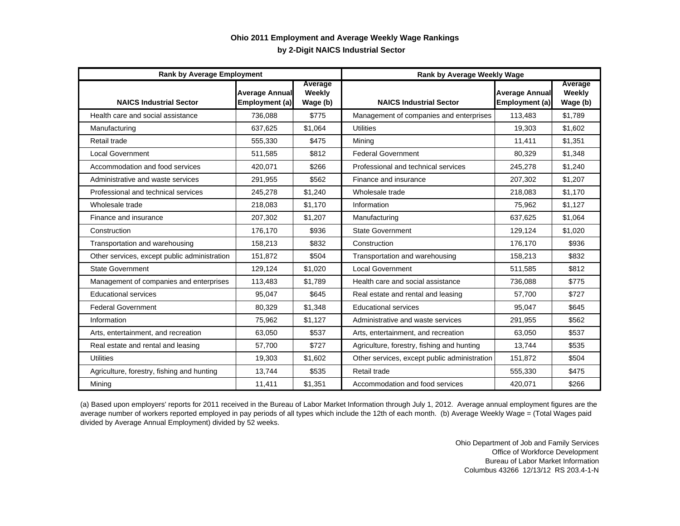## **by 2-Digit NAICS Industrial Sector Ohio 2011 Employment and Average Weekly Wage Rankings**

| <b>Rank by Average Employment</b>            |                                         |                               | Rank by Average Weekly Wage                  |                                         |                               |
|----------------------------------------------|-----------------------------------------|-------------------------------|----------------------------------------------|-----------------------------------------|-------------------------------|
| <b>NAICS Industrial Sector</b>               | <b>Average Annual</b><br>Employment (a) | Average<br>Weekly<br>Wage (b) | <b>NAICS Industrial Sector</b>               | <b>Average Annual</b><br>Employment (a) | Average<br>Weekly<br>Wage (b) |
| Health care and social assistance            | 736,088                                 | \$775                         | Management of companies and enterprises      | 113,483                                 | \$1,789                       |
| Manufacturing                                | 637,625                                 | \$1.064                       | <b>Utilities</b>                             | 19,303                                  | \$1.602                       |
| Retail trade                                 | 555,330                                 | \$475                         | Mining                                       | 11,411                                  | \$1,351                       |
| <b>Local Government</b>                      | 511,585                                 | \$812                         | <b>Federal Government</b>                    | 80,329                                  | \$1,348                       |
| Accommodation and food services              | 420,071                                 | \$266                         | Professional and technical services          | 245,278                                 | \$1,240                       |
| Administrative and waste services            | 291,955                                 | \$562                         | Finance and insurance                        | 207,302                                 | \$1,207                       |
| Professional and technical services          | 245,278                                 | \$1,240                       | Wholesale trade                              | 218,083                                 | \$1,170                       |
| Wholesale trade                              | 218,083                                 | \$1,170                       | Information                                  | 75,962                                  | \$1,127                       |
| Finance and insurance                        | 207,302                                 | \$1.207                       | Manufacturing                                | 637.625                                 | \$1.064                       |
| Construction                                 | 176,170                                 | \$936                         | <b>State Government</b>                      | 129,124                                 | \$1.020                       |
| Transportation and warehousing               | 158.213                                 | \$832                         | Construction                                 | 176.170                                 | \$936                         |
| Other services, except public administration | 151,872                                 | \$504                         | Transportation and warehousing               | 158,213                                 | \$832                         |
| <b>State Government</b>                      | 129,124                                 | \$1,020                       | <b>Local Government</b>                      | 511,585                                 | \$812                         |
| Management of companies and enterprises      | 113,483                                 | \$1.789                       | Health care and social assistance            | 736,088                                 | \$775                         |
| <b>Educational services</b>                  | 95,047                                  | \$645                         | Real estate and rental and leasing           | 57,700                                  | \$727                         |
| <b>Federal Government</b>                    | 80,329                                  | \$1.348                       | <b>Educational services</b>                  | 95.047                                  | \$645                         |
| Information                                  | 75,962                                  | \$1,127                       | Administrative and waste services            | 291,955                                 | \$562                         |
| Arts, entertainment, and recreation          | 63,050                                  | \$537                         | Arts, entertainment, and recreation          | 63,050                                  | \$537                         |
| Real estate and rental and leasing           | 57,700                                  | \$727                         | Agriculture, forestry, fishing and hunting   | 13.744                                  | \$535                         |
| Utilities                                    | 19,303                                  | \$1,602                       | Other services, except public administration | 151,872                                 | \$504                         |
| Agriculture, forestry, fishing and hunting   | 13,744                                  | \$535                         | Retail trade                                 | 555,330                                 | \$475                         |
| Mining                                       | 11,411                                  | \$1,351                       | Accommodation and food services              | 420,071                                 | \$266                         |

(a) Based upon employers' reports for 2011 received in the Bureau of Labor Market Information through July 1, 2012. Average annual employment figures are the average number of workers reported employed in pay periods of all types which include the 12th of each month. (b) Average Weekly Wage = (Total Wages paid divided by Average Annual Employment) divided by 52 weeks.

> Ohio Department of Job and Family Services Office of Workforce Development Bureau of Labor Market Information Columbus 43266 12/13/12 RS 203.4-1-N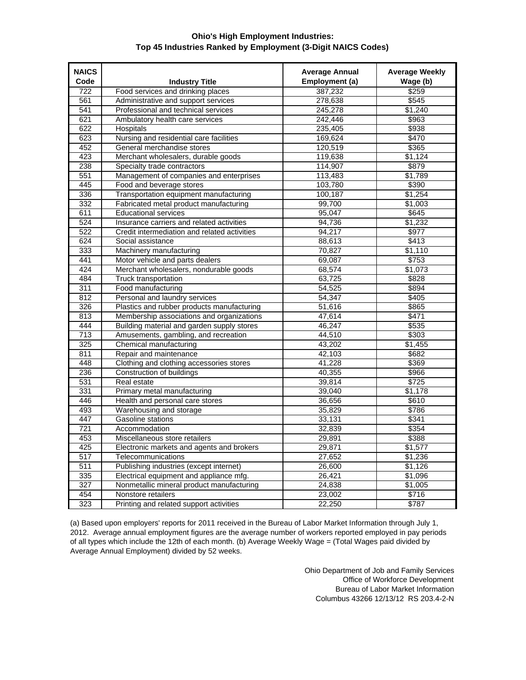## **Ohio's High Employment Industries: Top 45 Industries Ranked by Employment (3-Digit NAICS Codes)**

| <b>NAICS</b> |                                              | <b>Average Annual</b> | <b>Average Weekly</b> |
|--------------|----------------------------------------------|-----------------------|-----------------------|
| Code         | <b>Industry Title</b>                        | Employment (a)        | Wage (b)              |
| 722          | Food services and drinking places            | 387,232               | \$259                 |
| 561          | Administrative and support services          | 278,638               | \$545                 |
| 541          | Professional and technical services          | 245,278               | \$1,240               |
| 621          | Ambulatory health care services              | 242,446               | \$963                 |
| 622          | Hospitals                                    | 235,405               | \$938                 |
| 623          | Nursing and residential care facilities      | 169,624               | \$470                 |
| 452          | General merchandise stores                   | 120,519               | \$365                 |
| 423          | Merchant wholesalers, durable goods          | 119,638               | \$1,124               |
| 238          | Specialty trade contractors                  | 114,907               | \$879                 |
| 551          | Management of companies and enterprises      | 113,483               | \$1,789               |
| 445          | Food and beverage stores                     | 103,780               | \$390                 |
| 336          | Transportation equipment manufacturing       | 100,187               | \$1,254               |
| 332          | Fabricated metal product manufacturing       | 99,700                | \$1,003               |
| 611          | <b>Educational services</b>                  | 95,047                | \$645                 |
| 524          | Insurance carriers and related activities    | 94,736                | \$1,232               |
| 522          | Credit intermediation and related activities | 94,217                | \$977                 |
| 624          | Social assistance                            | 88,613                | \$413                 |
| 333          | Machinery manufacturing                      | 70,827                | \$1,110               |
| 441          | Motor vehicle and parts dealers              | 69,087                | \$753                 |
| 424          | Merchant wholesalers, nondurable goods       | 68,574                | \$1,073               |
| 484          | <b>Truck transportation</b>                  | 63,725                | \$828                 |
| 311          | Food manufacturing                           | 54,525                | \$894                 |
| 812          | Personal and laundry services                | 54.347                | \$405                 |
| 326          | Plastics and rubber products manufacturing   | 51,616                | \$865                 |
| 813          | Membership associations and organizations    | 47,614                | \$471                 |
| 444          | Building material and garden supply stores   | 46,247                | \$535                 |
| 713          | Amusements, gambling, and recreation         | 44,510                | \$303                 |
| 325          | Chemical manufacturing                       | 43,202                | \$1,455               |
| 811          | Repair and maintenance                       | 42,103                | \$682                 |
| 448          | Clothing and clothing accessories stores     | 41,228                | \$369                 |
| 236          | Construction of buildings                    | 40,355                | \$966                 |
| 531          | Real estate                                  | 39,814                | \$725                 |
| 331          | Primary metal manufacturing                  | 39,040                | \$1,178               |
| 446          | Health and personal care stores              | 36,656                | \$610                 |
| 493          | Warehousing and storage                      | 35,829                | \$786                 |
| 447          | Gasoline stations                            | 33,131                | \$341                 |
| 721          | Accommodation                                | 32,839                | \$354                 |
| 453          | Miscellaneous store retailers                | 29,891                | \$388                 |
| 425          | Electronic markets and agents and brokers    | 29,871                | \$1,577               |
| 517          | Telecommunications                           | 27,652                | \$1,236               |
| 511          | Publishing industries (except internet)      | 26,600                | \$1,126               |
| 335          | Electrical equipment and appliance mfg.      | 26,421                | \$1,096               |
| 327          | Nonmetallic mineral product manufacturing    | 24,838                | \$1,005               |
| 454          | Nonstore retailers                           | 23,002                | \$716                 |
|              |                                              |                       |                       |
| 323          | Printing and related support activities      | 22,250                | \$787                 |

(a) Based upon employers' reports for 2011 received in the Bureau of Labor Market Information through July 1, 2012. Average annual employment figures are the average number of workers reported employed in pay periods of all types which include the 12th of each month. (b) Average Weekly Wage = (Total Wages paid divided by Average Annual Employment) divided by 52 weeks.

> Ohio Department of Job and Family Services Office of Workforce Development Bureau of Labor Market Information Columbus 43266 12/13/12 RS 203.4-2-N